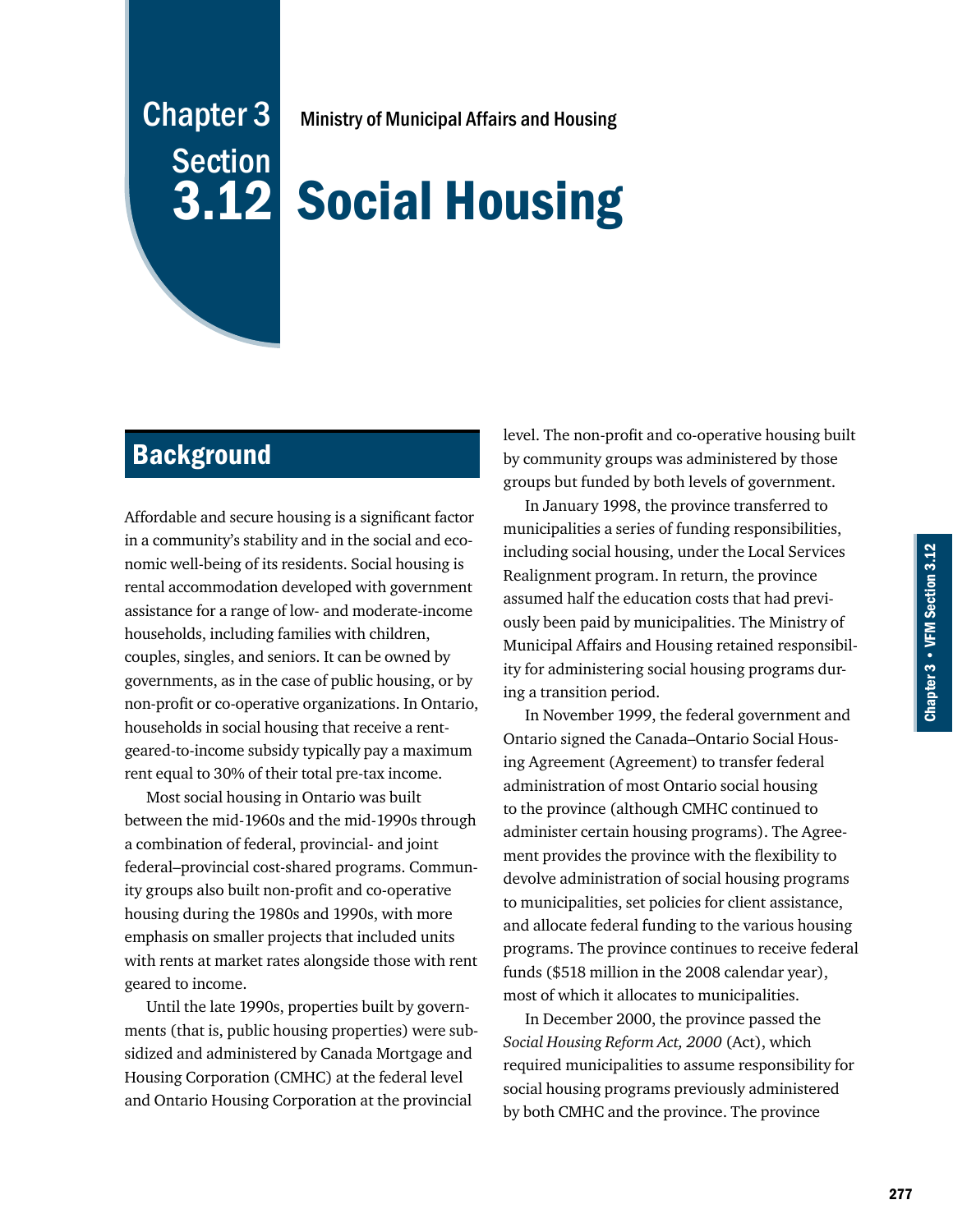# Chapter 3 **Section** 3.12

Ministry of Municipal Affairs and Housing

# Social Housing

# **Background**

Affordable and secure housing is a significant factor in a community's stability and in the social and economic well-being of its residents. Social housing is rental accommodation developed with government assistance for a range of low- and moderate-income households, including families with children, couples, singles, and seniors. It can be owned by governments, as in the case of public housing, or by non-profit or co-operative organizations. In Ontario, households in social housing that receive a rentgeared-to-income subsidy typically pay a maximum rent equal to 30% of their total pre-tax income.

Most social housing in Ontario was built between the mid-1960s and the mid-1990s through a combination of federal, provincial- and joint federal–provincial cost-shared programs. Community groups also built non-profit and co-operative housing during the 1980s and 1990s, with more emphasis on smaller projects that included units with rents at market rates alongside those with rent geared to income.

Until the late 1990s, properties built by governments (that is, public housing properties) were subsidized and administered by Canada Mortgage and Housing Corporation (CMHC) at the federal level and Ontario Housing Corporation at the provincial

level. The non-profit and co-operative housing built by community groups was administered by those groups but funded by both levels of government.

In January 1998, the province transferred to municipalities a series of funding responsibilities, including social housing, under the Local Services Realignment program. In return, the province assumed half the education costs that had previously been paid by municipalities. The Ministry of Municipal Affairs and Housing retained responsibility for administering social housing programs during a transition period.

In November 1999, the federal government and Ontario signed the Canada–Ontario Social Housing Agreement (Agreement) to transfer federal administration of most Ontario social housing to the province (although CMHC continued to administer certain housing programs). The Agreement provides the province with the flexibility to devolve administration of social housing programs to municipalities, set policies for client assistance, and allocate federal funding to the various housing programs. The province continues to receive federal funds (\$518 million in the 2008 calendar year), most of which it allocates to municipalities.

In December 2000, the province passed the *Social Housing Reform Act, 2000* (Act), which required municipalities to assume responsibility for social housing programs previously administered by both CMHC and the province. The province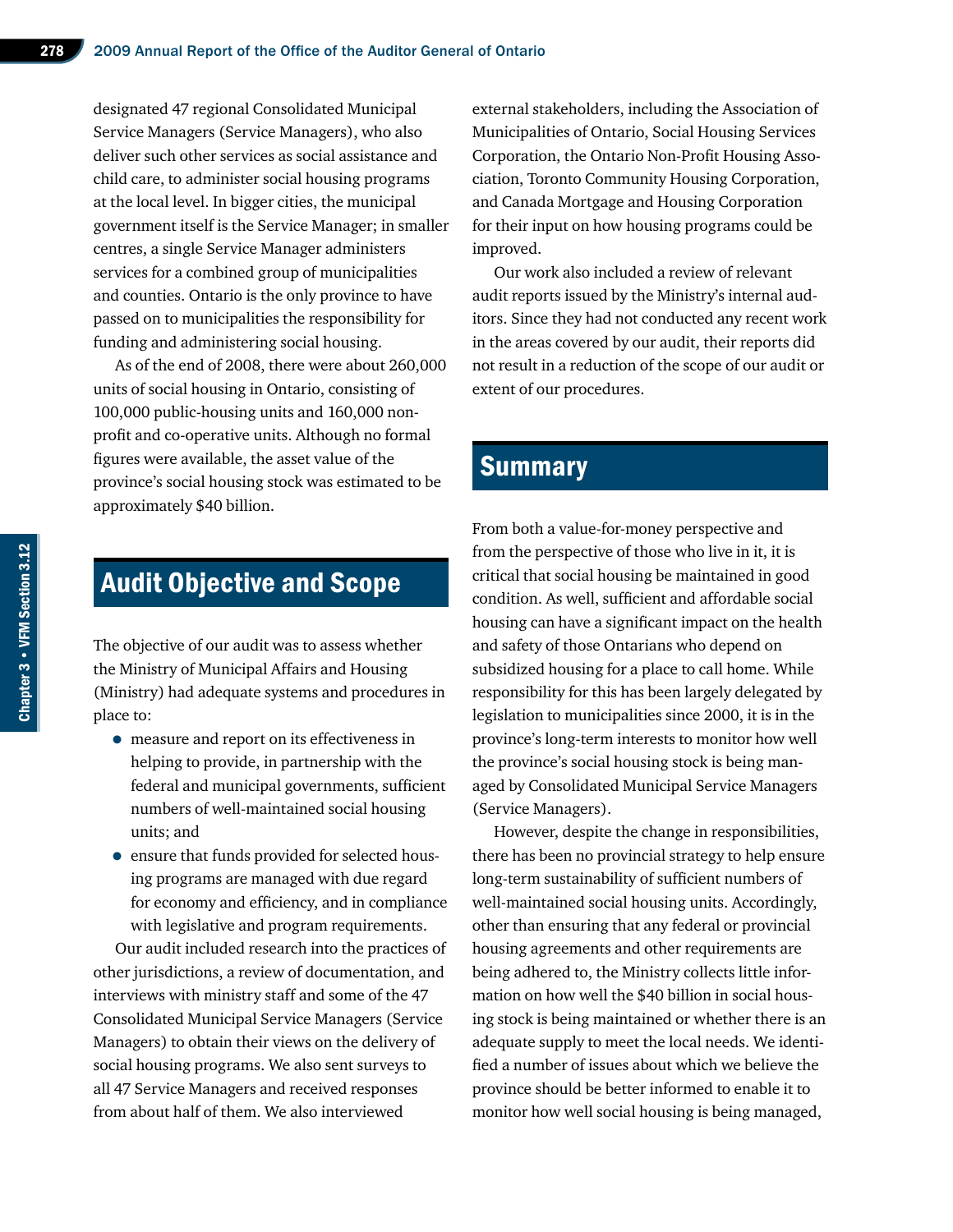designated 47 regional Consolidated Municipal Service Managers (Service Managers), who also deliver such other services as social assistance and child care, to administer social housing programs at the local level. In bigger cities, the municipal government itself is the Service Manager; in smaller centres, a single Service Manager administers services for a combined group of municipalities and counties. Ontario is the only province to have passed on to municipalities the responsibility for funding and administering social housing.

As of the end of 2008, there were about 260,000 units of social housing in Ontario, consisting of 100,000 public-housing units and 160,000 nonprofit and co-operative units. Although no formal figures were available, the asset value of the province's social housing stock was estimated to be approximately \$40 billion.

# Audit Objective and Scope

The objective of our audit was to assess whether the Ministry of Municipal Affairs and Housing (Ministry) had adequate systems and procedures in place to:

- measure and report on its effectiveness in helping to provide, in partnership with the federal and municipal governments, sufficient numbers of well-maintained social housing units; and
- ensure that funds provided for selected housing programs are managed with due regard for economy and efficiency, and in compliance with legislative and program requirements.

Our audit included research into the practices of other jurisdictions, a review of documentation, and interviews with ministry staff and some of the 47 Consolidated Municipal Service Managers (Service Managers) to obtain their views on the delivery of social housing programs. We also sent surveys to all 47 Service Managers and received responses from about half of them. We also interviewed

external stakeholders, including the Association of Municipalities of Ontario, Social Housing Services Corporation, the Ontario Non-Profit Housing Association, Toronto Community Housing Corporation, and Canada Mortgage and Housing Corporation for their input on how housing programs could be improved.

Our work also included a review of relevant audit reports issued by the Ministry's internal auditors. Since they had not conducted any recent work in the areas covered by our audit, their reports did not result in a reduction of the scope of our audit or extent of our procedures.

# **Summary**

From both a value-for-money perspective and from the perspective of those who live in it, it is critical that social housing be maintained in good condition. As well, sufficient and affordable social housing can have a significant impact on the health and safety of those Ontarians who depend on subsidized housing for a place to call home. While responsibility for this has been largely delegated by legislation to municipalities since 2000, it is in the province's long-term interests to monitor how well the province's social housing stock is being managed by Consolidated Municipal Service Managers (Service Managers).

However, despite the change in responsibilities, there has been no provincial strategy to help ensure long-term sustainability of sufficient numbers of well-maintained social housing units. Accordingly, other than ensuring that any federal or provincial housing agreements and other requirements are being adhered to, the Ministry collects little information on how well the \$40 billion in social housing stock is being maintained or whether there is an adequate supply to meet the local needs. We identified a number of issues about which we believe the province should be better informed to enable it to monitor how well social housing is being managed,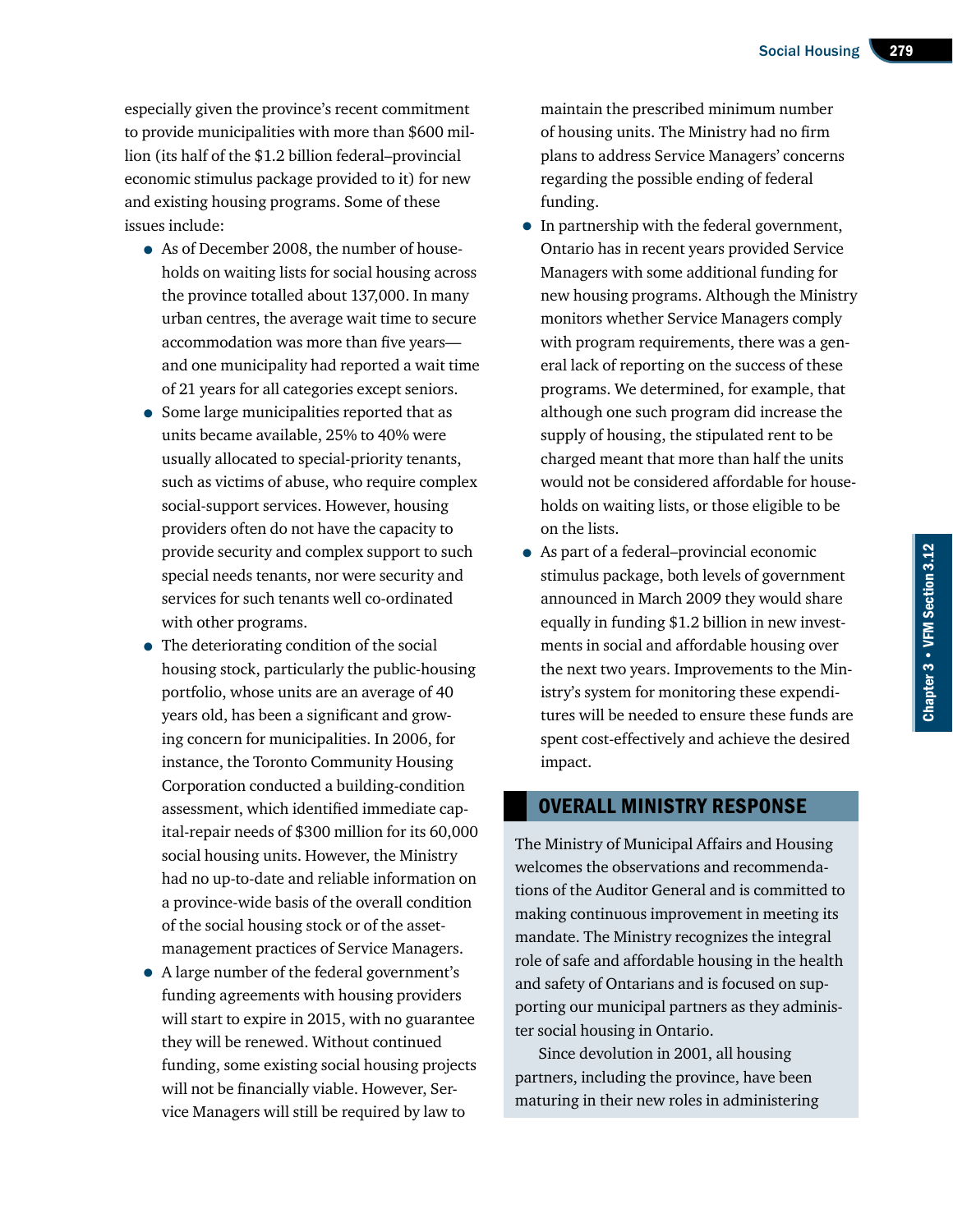especially given the province's recent commitment to provide municipalities with more than \$600 million (its half of the \$1.2 billion federal–provincial economic stimulus package provided to it) for new and existing housing programs. Some of these issues include:

- As of December 2008, the number of households on waiting lists for social housing across the province totalled about 137,000. In many urban centres, the average wait time to secure accommodation was more than five years and one municipality had reported a wait time of 21 years for all categories except seniors.
- Some large municipalities reported that as units became available, 25% to 40% were usually allocated to special-priority tenants, such as victims of abuse, who require complex social-support services. However, housing providers often do not have the capacity to provide security and complex support to such special needs tenants, nor were security and services for such tenants well co-ordinated with other programs.
- The deteriorating condition of the social housing stock, particularly the public-housing portfolio, whose units are an average of 40 years old, has been a significant and growing concern for municipalities. In 2006, for instance, the Toronto Community Housing Corporation conducted a building-condition assessment, which identified immediate capital-repair needs of \$300 million for its 60,000 social housing units. However, the Ministry had no up-to-date and reliable information on a province-wide basis of the overall condition of the social housing stock or of the assetmanagement practices of Service Managers.
- A large number of the federal government's funding agreements with housing providers will start to expire in 2015, with no guarantee they will be renewed. Without continued funding, some existing social housing projects will not be financially viable. However, Service Managers will still be required by law to

maintain the prescribed minimum number of housing units. The Ministry had no firm plans to address Service Managers' concerns regarding the possible ending of federal funding.

- In partnership with the federal government, Ontario has in recent years provided Service Managers with some additional funding for new housing programs. Although the Ministry monitors whether Service Managers comply with program requirements, there was a general lack of reporting on the success of these programs. We determined, for example, that although one such program did increase the supply of housing, the stipulated rent to be charged meant that more than half the units would not be considered affordable for households on waiting lists, or those eligible to be on the lists.
- As part of a federal–provincial economic stimulus package, both levels of government announced in March 2009 they would share equally in funding \$1.2 billion in new investments in social and affordable housing over the next two years. Improvements to the Ministry's system for monitoring these expenditures will be needed to ensure these funds are spent cost-effectively and achieve the desired impact.

### Overall Ministry Response

The Ministry of Municipal Affairs and Housing welcomes the observations and recommendations of the Auditor General and is committed to making continuous improvement in meeting its mandate. The Ministry recognizes the integral role of safe and affordable housing in the health and safety of Ontarians and is focused on supporting our municipal partners as they administer social housing in Ontario.

Since devolution in 2001, all housing partners, including the province, have been maturing in their new roles in administering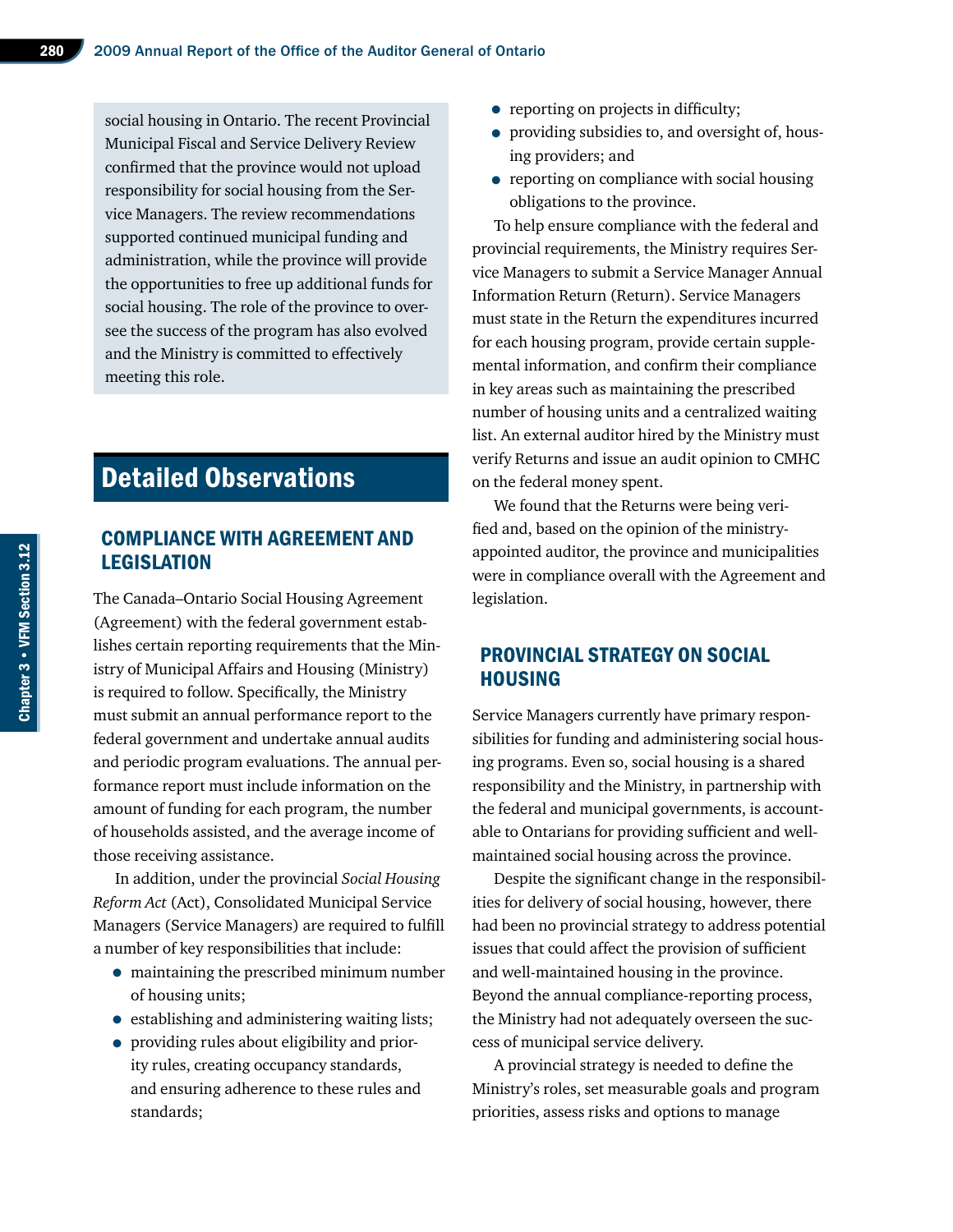social housing in Ontario. The recent Provincial Municipal Fiscal and Service Delivery Review confirmed that the province would not upload responsibility for social housing from the Service Managers. The review recommendations supported continued municipal funding and administration, while the province will provide the opportunities to free up additional funds for social housing. The role of the province to oversee the success of the program has also evolved and the Ministry is committed to effectively meeting this role.

# Detailed Observations

# Compliance with Agreement and **LEGISLATION**

The Canada–Ontario Social Housing Agreement (Agreement) with the federal government establishes certain reporting requirements that the Ministry of Municipal Affairs and Housing (Ministry) is required to follow. Specifically, the Ministry must submit an annual performance report to the federal government and undertake annual audits and periodic program evaluations. The annual performance report must include information on the amount of funding for each program, the number of households assisted, and the average income of those receiving assistance.

In addition, under the provincial *Social Housing Reform Act* (Act), Consolidated Municipal Service Managers (Service Managers) are required to fulfill a number of key responsibilities that include:

- maintaining the prescribed minimum number of housing units;
- establishing and administering waiting lists;
- providing rules about eligibility and priority rules, creating occupancy standards, and ensuring adherence to these rules and standards;
- reporting on projects in difficulty;
- providing subsidies to, and oversight of, housing providers; and
- reporting on compliance with social housing obligations to the province.

To help ensure compliance with the federal and provincial requirements, the Ministry requires Service Managers to submit a Service Manager Annual Information Return (Return). Service Managers must state in the Return the expenditures incurred for each housing program, provide certain supplemental information, and confirm their compliance in key areas such as maintaining the prescribed number of housing units and a centralized waiting list. An external auditor hired by the Ministry must verify Returns and issue an audit opinion to CMHC on the federal money spent.

We found that the Returns were being verified and, based on the opinion of the ministryappointed auditor, the province and municipalities were in compliance overall with the Agreement and legislation.

# Provincial Strategy on Social **HOUSING**

Service Managers currently have primary responsibilities for funding and administering social housing programs. Even so, social housing is a shared responsibility and the Ministry, in partnership with the federal and municipal governments, is accountable to Ontarians for providing sufficient and wellmaintained social housing across the province.

Despite the significant change in the responsibilities for delivery of social housing, however, there had been no provincial strategy to address potential issues that could affect the provision of sufficient and well-maintained housing in the province. Beyond the annual compliance-reporting process, the Ministry had not adequately overseen the success of municipal service delivery.

A provincial strategy is needed to define the Ministry's roles, set measurable goals and program priorities, assess risks and options to manage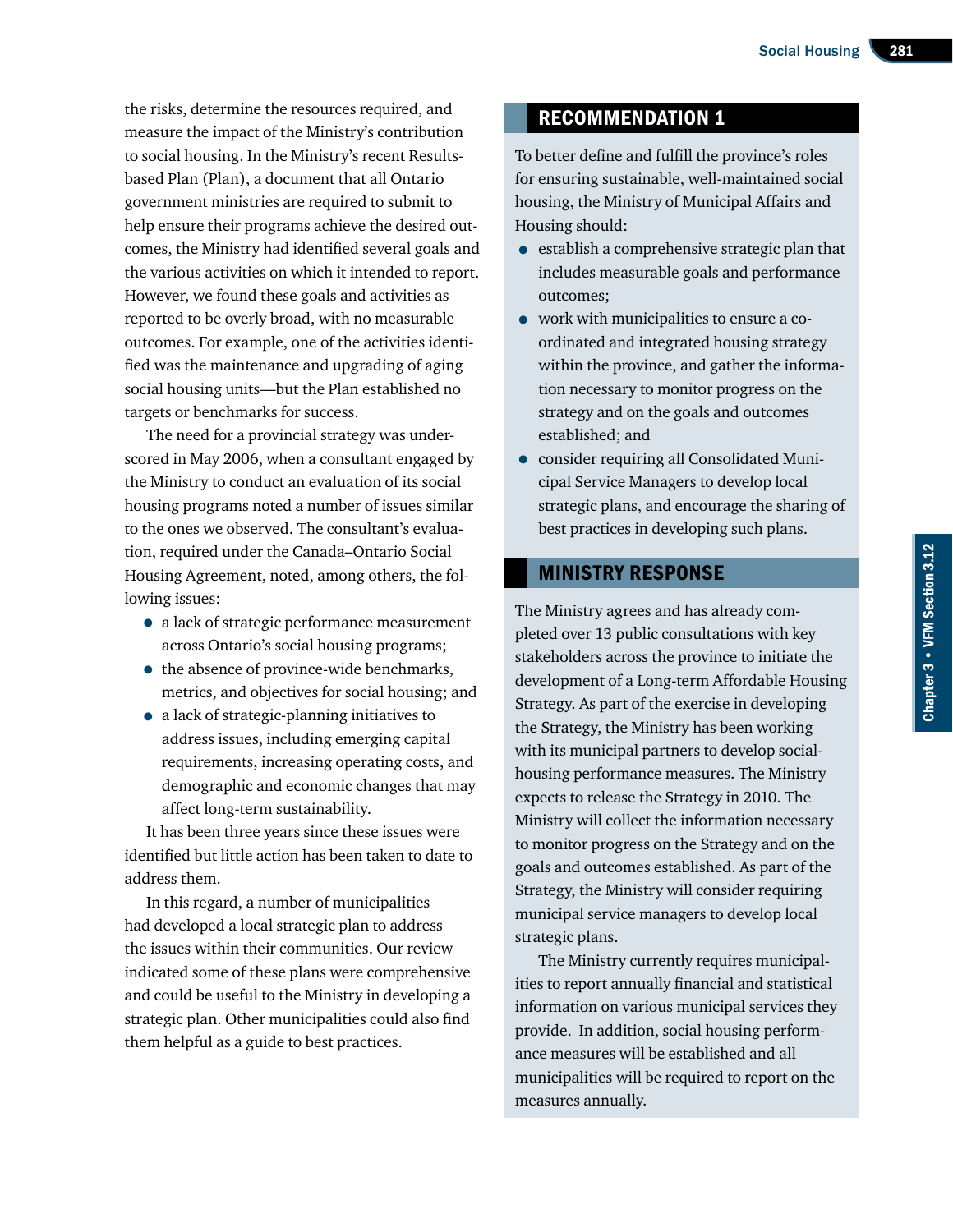the risks, determine the resources required, and measure the impact of the Ministry's contribution to social housing. In the Ministry's recent Resultsbased Plan (Plan), a document that all Ontario government ministries are required to submit to help ensure their programs achieve the desired outcomes, the Ministry had identified several goals and the various activities on which it intended to report. However, we found these goals and activities as reported to be overly broad, with no measurable outcomes. For example, one of the activities identified was the maintenance and upgrading of aging social housing units—but the Plan established no targets or benchmarks for success.

The need for a provincial strategy was underscored in May 2006, when a consultant engaged by the Ministry to conduct an evaluation of its social housing programs noted a number of issues similar to the ones we observed. The consultant's evaluation, required under the Canada–Ontario Social Housing Agreement, noted, among others, the following issues:

- a lack of strategic performance measurement across Ontario's social housing programs;
- the absence of province-wide benchmarks, metrics, and objectives for social housing; and
- a lack of strategic-planning initiatives to address issues, including emerging capital requirements, increasing operating costs, and demographic and economic changes that may affect long-term sustainability.

It has been three years since these issues were identified but little action has been taken to date to address them.

In this regard, a number of municipalities had developed a local strategic plan to address the issues within their communities. Our review indicated some of these plans were comprehensive and could be useful to the Ministry in developing a strategic plan. Other municipalities could also find them helpful as a guide to best practices.

# Recommendation 1

To better define and fulfill the province's roles for ensuring sustainable, well-maintained social housing, the Ministry of Municipal Affairs and Housing should:

- establish a comprehensive strategic plan that includes measurable goals and performance outcomes;
- work with municipalities to ensure a coordinated and integrated housing strategy within the province, and gather the information necessary to monitor progress on the strategy and on the goals and outcomes established; and
- consider requiring all Consolidated Municipal Service Managers to develop local strategic plans, and encourage the sharing of best practices in developing such plans.

# Ministry Response

The Ministry agrees and has already completed over 13 public consultations with key stakeholders across the province to initiate the development of a Long-term Affordable Housing Strategy. As part of the exercise in developing the Strategy, the Ministry has been working with its municipal partners to develop socialhousing performance measures. The Ministry expects to release the Strategy in 2010. The Ministry will collect the information necessary to monitor progress on the Strategy and on the goals and outcomes established. As part of the Strategy, the Ministry will consider requiring municipal service managers to develop local strategic plans.

The Ministry currently requires municipalities to report annually financial and statistical information on various municipal services they provide. In addition, social housing performance measures will be established and all municipalities will be required to report on the measures annually.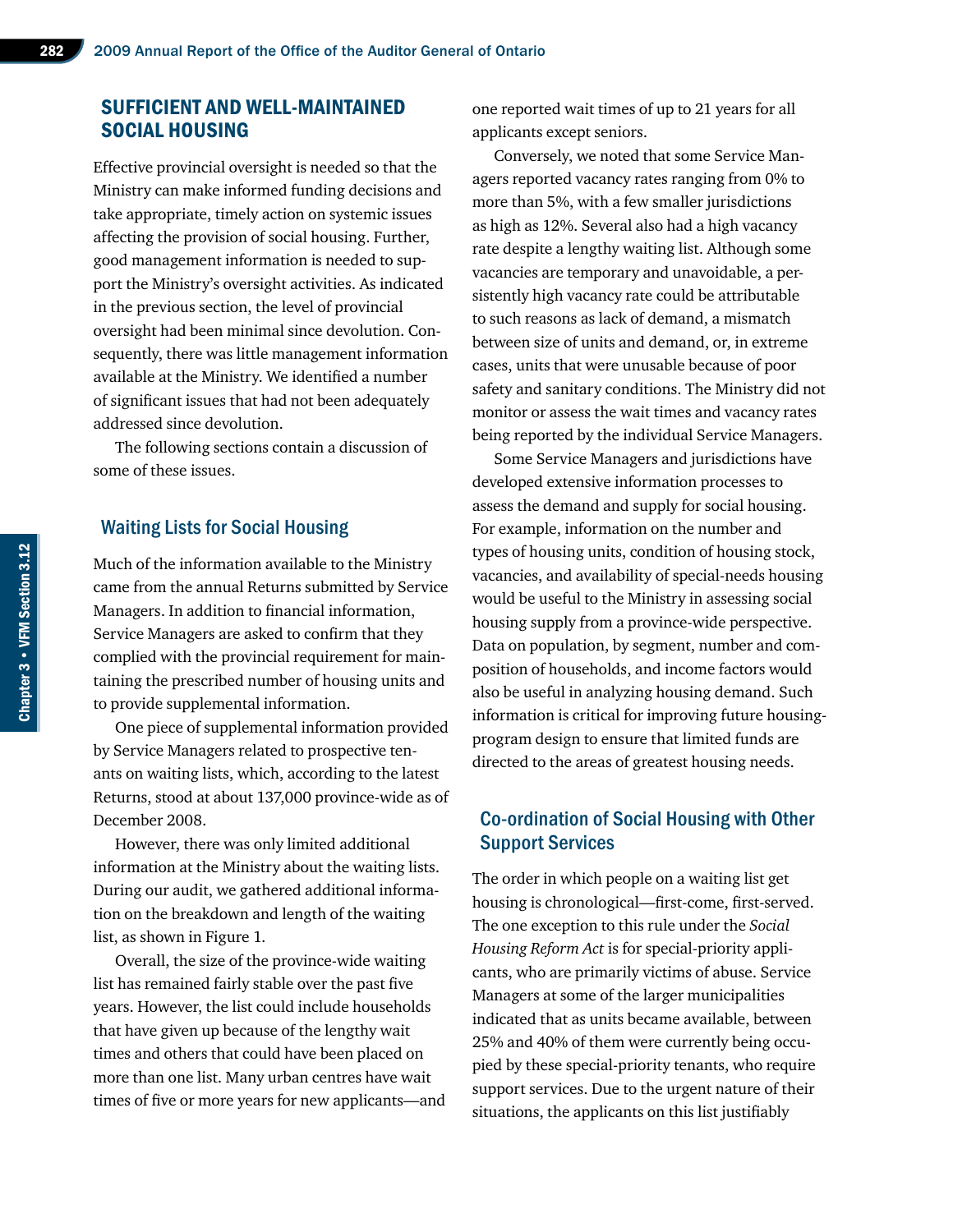# Sufficient and Well-Maintained Social Housing

Effective provincial oversight is needed so that the Ministry can make informed funding decisions and take appropriate, timely action on systemic issues affecting the provision of social housing. Further, good management information is needed to support the Ministry's oversight activities. As indicated in the previous section, the level of provincial oversight had been minimal since devolution. Consequently, there was little management information available at the Ministry. We identified a number of significant issues that had not been adequately addressed since devolution.

The following sections contain a discussion of some of these issues.

#### Waiting Lists for Social Housing

Much of the information available to the Ministry came from the annual Returns submitted by Service Managers. In addition to financial information, Service Managers are asked to confirm that they complied with the provincial requirement for maintaining the prescribed number of housing units and to provide supplemental information.

One piece of supplemental information provided by Service Managers related to prospective tenants on waiting lists, which, according to the latest Returns, stood at about 137,000 province-wide as of December 2008.

However, there was only limited additional information at the Ministry about the waiting lists. During our audit, we gathered additional information on the breakdown and length of the waiting list, as shown in Figure 1.

Overall, the size of the province-wide waiting list has remained fairly stable over the past five years. However, the list could include households that have given up because of the lengthy wait times and others that could have been placed on more than one list. Many urban centres have wait times of five or more years for new applicants—and one reported wait times of up to 21 years for all applicants except seniors.

Conversely, we noted that some Service Managers reported vacancy rates ranging from 0% to more than 5%, with a few smaller jurisdictions as high as 12%. Several also had a high vacancy rate despite a lengthy waiting list. Although some vacancies are temporary and unavoidable, a persistently high vacancy rate could be attributable to such reasons as lack of demand, a mismatch between size of units and demand, or, in extreme cases, units that were unusable because of poor safety and sanitary conditions. The Ministry did not monitor or assess the wait times and vacancy rates being reported by the individual Service Managers.

Some Service Managers and jurisdictions have developed extensive information processes to assess the demand and supply for social housing. For example, information on the number and types of housing units, condition of housing stock, vacancies, and availability of special-needs housing would be useful to the Ministry in assessing social housing supply from a province-wide perspective. Data on population, by segment, number and composition of households, and income factors would also be useful in analyzing housing demand. Such information is critical for improving future housingprogram design to ensure that limited funds are directed to the areas of greatest housing needs.

# Co-ordination of Social Housing with Other Support Services

The order in which people on a waiting list get housing is chronological—first-come, first-served. The one exception to this rule under the *Social Housing Reform Act* is for special-priority applicants, who are primarily victims of abuse. Service Managers at some of the larger municipalities indicated that as units became available, between 25% and 40% of them were currently being occupied by these special-priority tenants, who require support services. Due to the urgent nature of their situations, the applicants on this list justifiably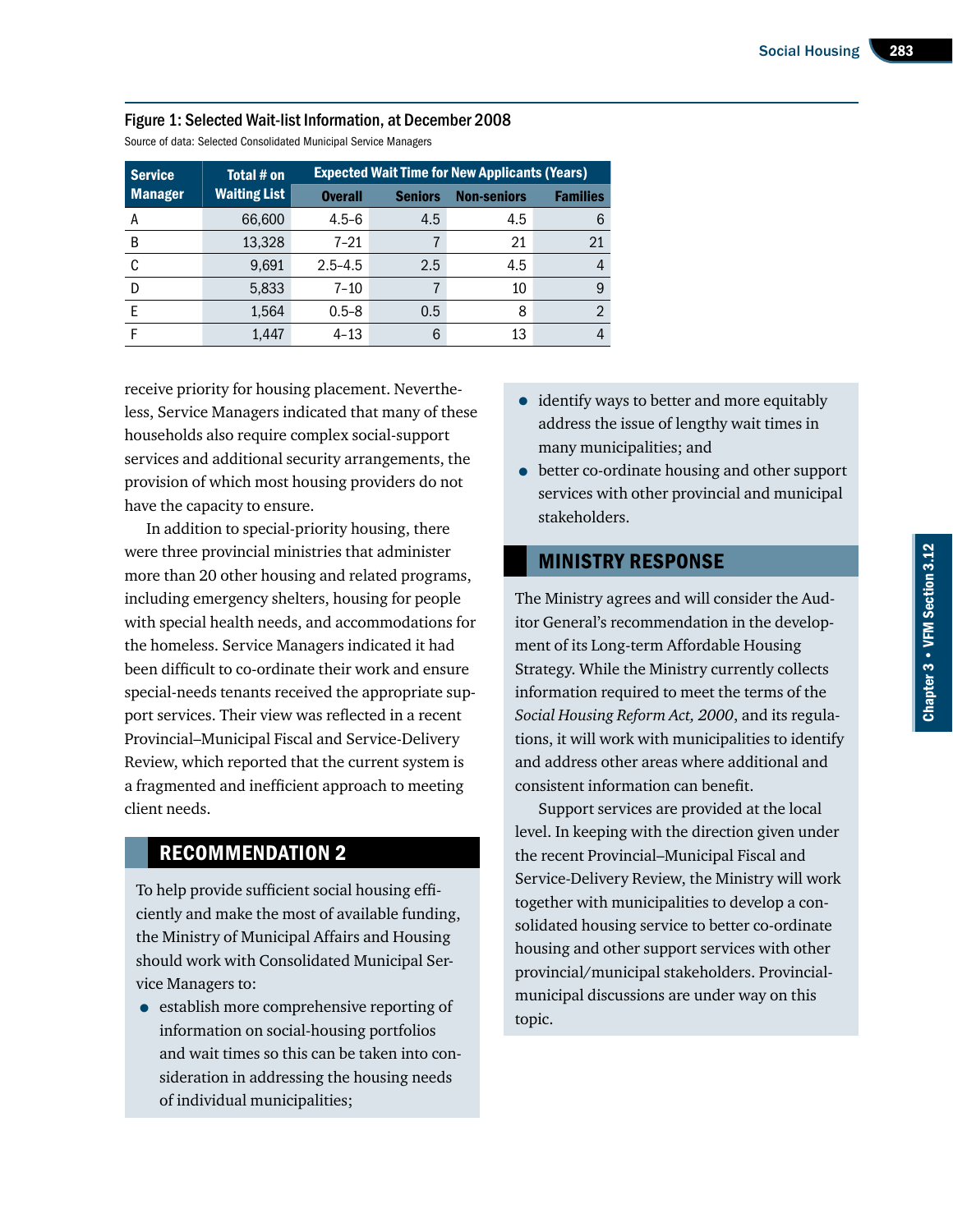| <b>Service</b> | Total # on          | <b>Expected Wait Time for New Applicants (Years)</b> |                |                    |                 |
|----------------|---------------------|------------------------------------------------------|----------------|--------------------|-----------------|
| <b>Manager</b> | <b>Waiting List</b> | <b>Overall</b>                                       | <b>Seniors</b> | <b>Non-seniors</b> | <b>Families</b> |
| А              | 66,600              | $4.5 - 6$                                            | 4.5            | 4.5                | 6               |
| B              | 13,328              | $7 - 21$                                             |                | 21                 | 21              |
| C              | 9,691               | $2.5 - 4.5$                                          | 2.5            | 4.5                | 4               |
| D              | 5,833               | $7 - 10$                                             |                | 10                 | 9               |
|                | 1,564               | $0.5 - 8$                                            | 0.5            | 8                  | $\mathfrak{D}$  |
|                | 1.447               | $4 - 13$                                             | 6              | 13                 | 4               |

#### Figure 1: Selected Wait-list Information, at December 2008

Source of data: Selected Consolidated Municipal Service Managers

receive priority for housing placement. Nevertheless, Service Managers indicated that many of these households also require complex social-support services and additional security arrangements, the provision of which most housing providers do not have the capacity to ensure.

In addition to special-priority housing, there were three provincial ministries that administer more than 20 other housing and related programs, including emergency shelters, housing for people with special health needs, and accommodations for the homeless. Service Managers indicated it had been difficult to co-ordinate their work and ensure special-needs tenants received the appropriate support services. Their view was reflected in a recent Provincial–Municipal Fiscal and Service-Delivery Review, which reported that the current system is a fragmented and inefficient approach to meeting client needs.

# Recommendation 2

To help provide sufficient social housing efficiently and make the most of available funding, the Ministry of Municipal Affairs and Housing should work with Consolidated Municipal Service Managers to:

• establish more comprehensive reporting of information on social-housing portfolios and wait times so this can be taken into consideration in addressing the housing needs of individual municipalities;

- identify ways to better and more equitably address the issue of lengthy wait times in many municipalities; and
- better co-ordinate housing and other support services with other provincial and municipal stakeholders.

# Ministry Response

The Ministry agrees and will consider the Auditor General's recommendation in the development of its Long-term Affordable Housing Strategy. While the Ministry currently collects information required to meet the terms of the *Social Housing Reform Act, 2000*, and its regulations, it will work with municipalities to identify and address other areas where additional and consistent information can benefit.

Support services are provided at the local level. In keeping with the direction given under the recent Provincial–Municipal Fiscal and Service-Delivery Review, the Ministry will work together with municipalities to develop a consolidated housing service to better co-ordinate housing and other support services with other provincial/municipal stakeholders. Provincialmunicipal discussions are under way on this topic.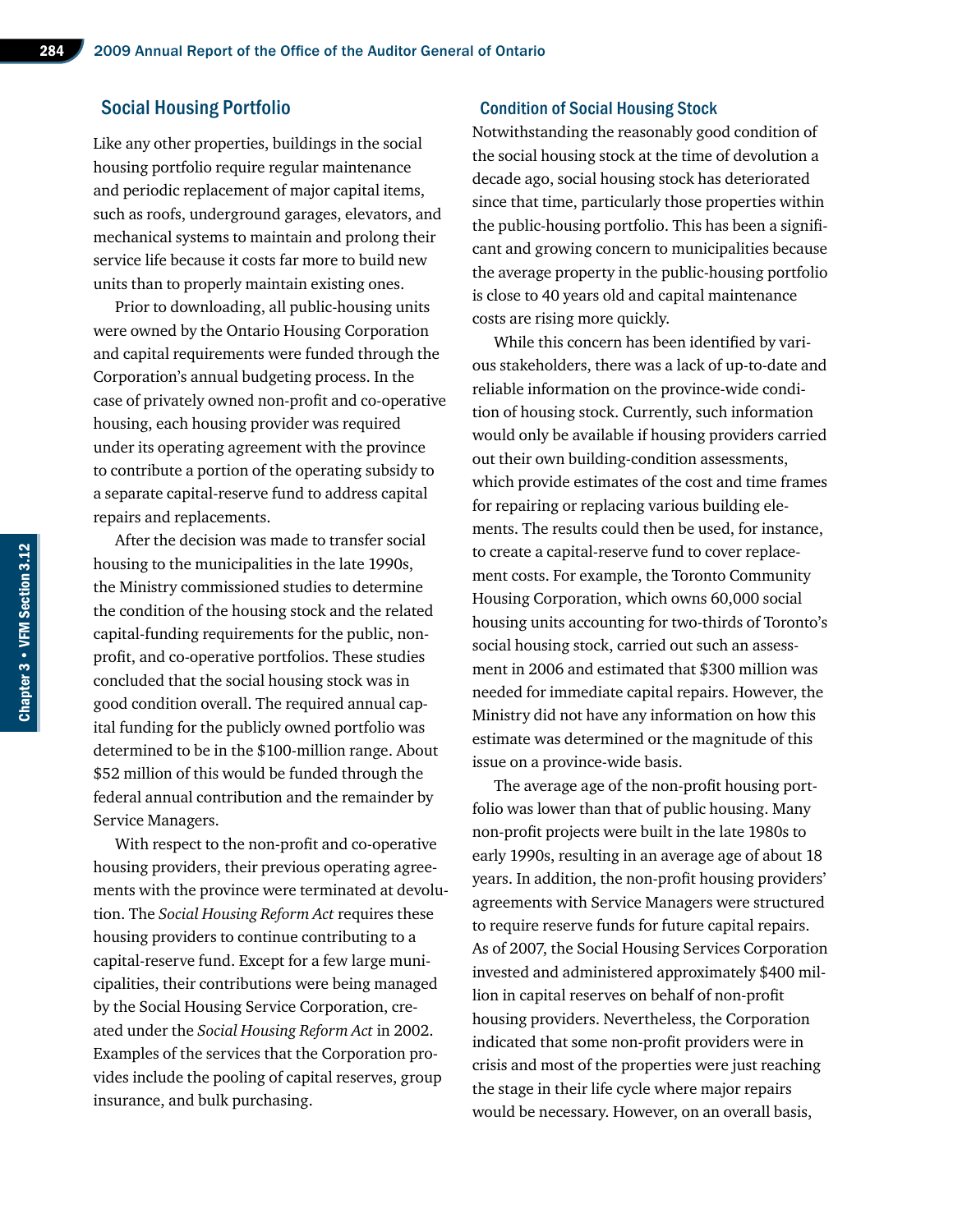#### Social Housing Portfolio

Like any other properties, buildings in the social housing portfolio require regular maintenance and periodic replacement of major capital items, such as roofs, underground garages, elevators, and mechanical systems to maintain and prolong their service life because it costs far more to build new units than to properly maintain existing ones.

Prior to downloading, all public-housing units were owned by the Ontario Housing Corporation and capital requirements were funded through the Corporation's annual budgeting process. In the case of privately owned non-profit and co-operative housing, each housing provider was required under its operating agreement with the province to contribute a portion of the operating subsidy to a separate capital-reserve fund to address capital repairs and replacements.

After the decision was made to transfer social housing to the municipalities in the late 1990s, the Ministry commissioned studies to determine the condition of the housing stock and the related capital-funding requirements for the public, nonprofit, and co-operative portfolios. These studies concluded that the social housing stock was in good condition overall. The required annual capital funding for the publicly owned portfolio was determined to be in the \$100‑million range. About \$52 million of this would be funded through the federal annual contribution and the remainder by Service Managers.

With respect to the non-profit and co-operative housing providers, their previous operating agreements with the province were terminated at devolution. The *Social Housing Reform Act* requires these housing providers to continue contributing to a capital-reserve fund. Except for a few large municipalities, their contributions were being managed by the Social Housing Service Corporation, created under the *Social Housing Reform Act* in 2002. Examples of the services that the Corporation provides include the pooling of capital reserves, group insurance, and bulk purchasing.

#### Condition of Social Housing Stock

Notwithstanding the reasonably good condition of the social housing stock at the time of devolution a decade ago, social housing stock has deteriorated since that time, particularly those properties within the public-housing portfolio. This has been a significant and growing concern to municipalities because the average property in the public-housing portfolio is close to 40 years old and capital maintenance costs are rising more quickly.

While this concern has been identified by various stakeholders, there was a lack of up-to-date and reliable information on the province-wide condition of housing stock. Currently, such information would only be available if housing providers carried out their own building-condition assessments, which provide estimates of the cost and time frames for repairing or replacing various building elements. The results could then be used, for instance, to create a capital-reserve fund to cover replacement costs. For example, the Toronto Community Housing Corporation, which owns 60,000 social housing units accounting for two-thirds of Toronto's social housing stock, carried out such an assessment in 2006 and estimated that \$300 million was needed for immediate capital repairs. However, the Ministry did not have any information on how this estimate was determined or the magnitude of this issue on a province-wide basis.

The average age of the non-profit housing portfolio was lower than that of public housing. Many non-profit projects were built in the late 1980s to early 1990s, resulting in an average age of about 18 years. In addition, the non-profit housing providers' agreements with Service Managers were structured to require reserve funds for future capital repairs. As of 2007, the Social Housing Services Corporation invested and administered approximately \$400 million in capital reserves on behalf of non-profit housing providers. Nevertheless, the Corporation indicated that some non-profit providers were in crisis and most of the properties were just reaching the stage in their life cycle where major repairs would be necessary. However, on an overall basis,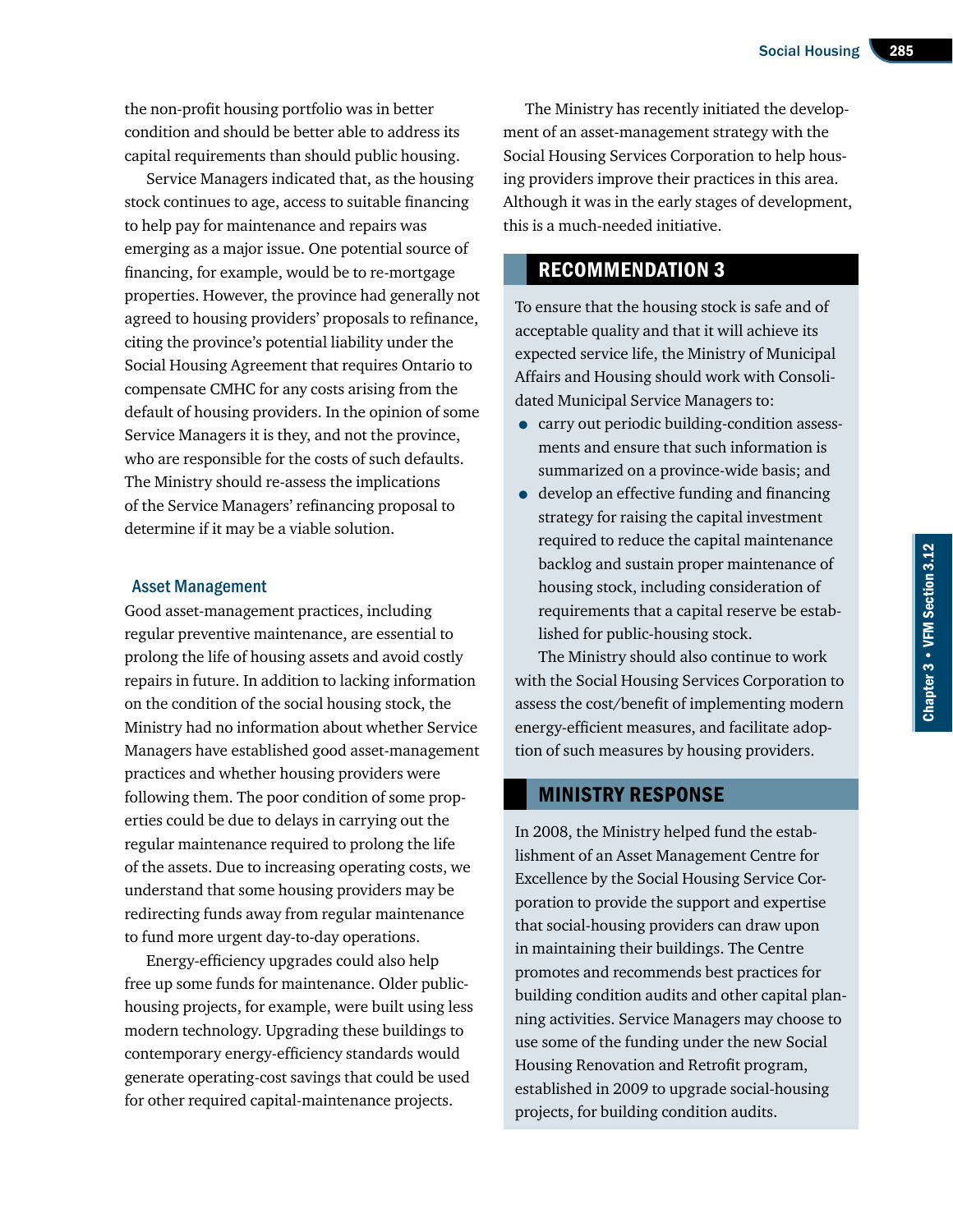the non-profit housing portfolio was in better condition and should be better able to address its capital requirements than should public housing.

Service Managers indicated that, as the housing stock continues to age, access to suitable financing to help pay for maintenance and repairs was emerging as a major issue. One potential source of financing, for example, would be to re-mortgage properties. However, the province had generally not agreed to housing providers' proposals to refinance, citing the province's potential liability under the Social Housing Agreement that requires Ontario to compensate CMHC for any costs arising from the default of housing providers. In the opinion of some Service Managers it is they, and not the province, who are responsible for the costs of such defaults. The Ministry should re-assess the implications of the Service Managers' refinancing proposal to determine if it may be a viable solution.

#### Asset Management

Good asset-management practices, including regular preventive maintenance, are essential to prolong the life of housing assets and avoid costly repairs in future. In addition to lacking information on the condition of the social housing stock, the Ministry had no information about whether Service Managers have established good asset-management practices and whether housing providers were following them. The poor condition of some properties could be due to delays in carrying out the regular maintenance required to prolong the life of the assets. Due to increasing operating costs, we understand that some housing providers may be redirecting funds away from regular maintenance to fund more urgent day-to-day operations.

Energy-efficiency upgrades could also help free up some funds for maintenance. Older publichousing projects, for example, were built using less modern technology. Upgrading these buildings to contemporary energy-efficiency standards would generate operating-cost savings that could be used for other required capital-maintenance projects.

The Ministry has recently initiated the development of an asset-management strategy with the Social Housing Services Corporation to help housing providers improve their practices in this area. Although it was in the early stages of development, this is a much-needed initiative.

# Recommendation 3

To ensure that the housing stock is safe and of acceptable quality and that it will achieve its expected service life, the Ministry of Municipal Affairs and Housing should work with Consolidated Municipal Service Managers to:

- carry out periodic building-condition assessments and ensure that such information is summarized on a province-wide basis; and
- develop an effective funding and financing strategy for raising the capital investment required to reduce the capital maintenance backlog and sustain proper maintenance of housing stock, including consideration of requirements that a capital reserve be established for public-housing stock.

The Ministry should also continue to work with the Social Housing Services Corporation to assess the cost/benefit of implementing modern energy-efficient measures, and facilitate adoption of such measures by housing providers.

## Ministry Response

In 2008, the Ministry helped fund the establishment of an Asset Management Centre for Excellence by the Social Housing Service Corporation to provide the support and expertise that social-housing providers can draw upon in maintaining their buildings. The Centre promotes and recommends best practices for building condition audits and other capital planning activities. Service Managers may choose to use some of the funding under the new Social Housing Renovation and Retrofit program, established in 2009 to upgrade social-housing projects, for building condition audits.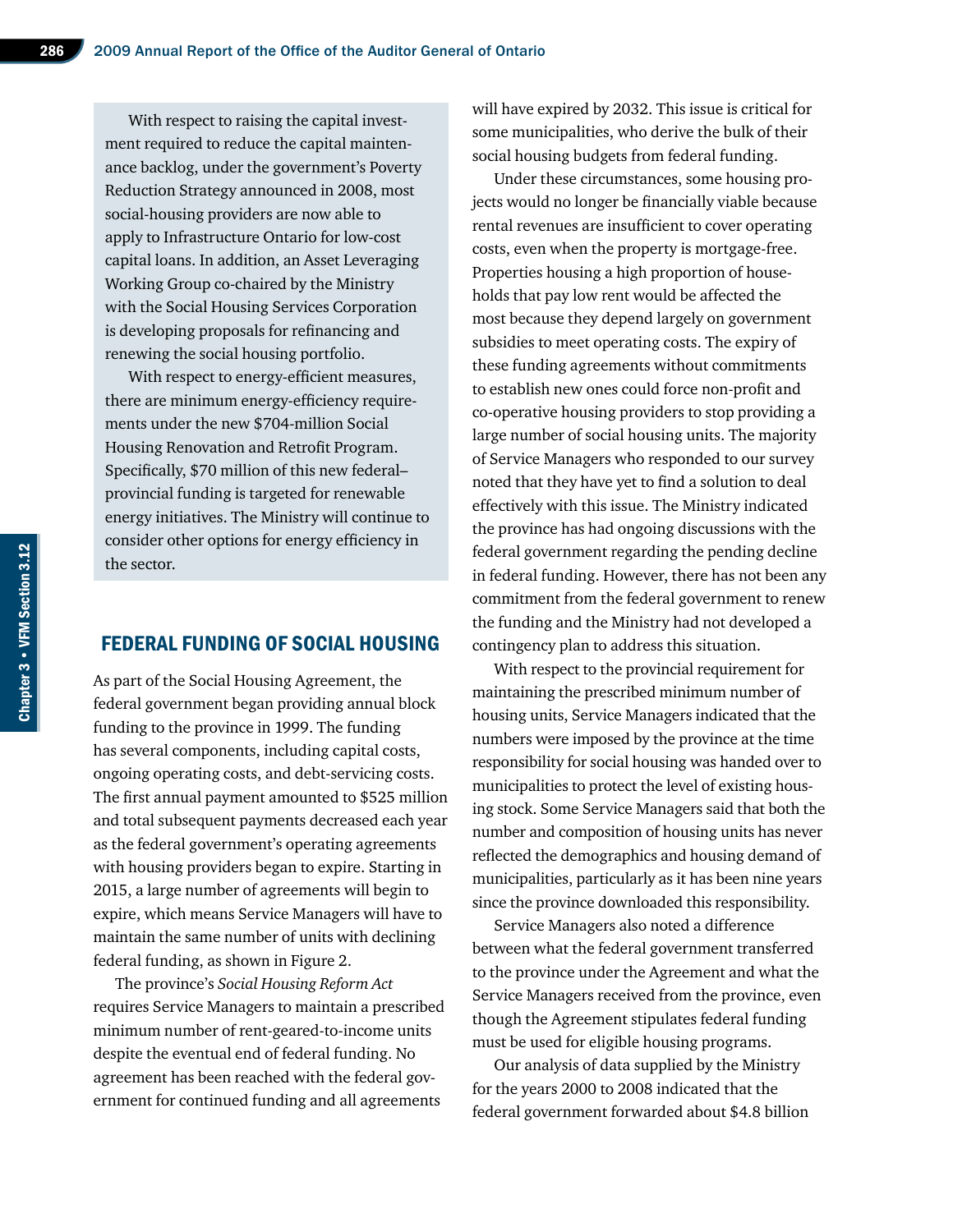With respect to raising the capital investment required to reduce the capital maintenance backlog, under the government's Poverty Reduction Strategy announced in 2008, most social-housing providers are now able to apply to Infrastructure Ontario for low-cost capital loans. In addition, an Asset Leveraging Working Group co-chaired by the Ministry with the Social Housing Services Corporation is developing proposals for refinancing and renewing the social housing portfolio.

With respect to energy-efficient measures, there are minimum energy-efficiency requirements under the new \$704‑million Social Housing Renovation and Retrofit Program. Specifically, \$70 million of this new federal– provincial funding is targeted for renewable energy initiatives. The Ministry will continue to consider other options for energy efficiency in the sector.

## Federal Funding of Social Housing

As part of the Social Housing Agreement, the federal government began providing annual block funding to the province in 1999. The funding has several components, including capital costs, ongoing operating costs, and debt-servicing costs. The first annual payment amounted to \$525 million and total subsequent payments decreased each year as the federal government's operating agreements with housing providers began to expire. Starting in 2015, a large number of agreements will begin to expire, which means Service Managers will have to maintain the same number of units with declining federal funding, as shown in Figure 2.

The province's *Social Housing Reform Act*  requires Service Managers to maintain a prescribed minimum number of rent-geared-to-income units despite the eventual end of federal funding. No agreement has been reached with the federal government for continued funding and all agreements

will have expired by 2032. This issue is critical for some municipalities, who derive the bulk of their social housing budgets from federal funding.

Under these circumstances, some housing projects would no longer be financially viable because rental revenues are insufficient to cover operating costs, even when the property is mortgage-free. Properties housing a high proportion of households that pay low rent would be affected the most because they depend largely on government subsidies to meet operating costs. The expiry of these funding agreements without commitments to establish new ones could force non-profit and co-operative housing providers to stop providing a large number of social housing units. The majority of Service Managers who responded to our survey noted that they have yet to find a solution to deal effectively with this issue. The Ministry indicated the province has had ongoing discussions with the federal government regarding the pending decline in federal funding. However, there has not been any commitment from the federal government to renew the funding and the Ministry had not developed a contingency plan to address this situation.

With respect to the provincial requirement for maintaining the prescribed minimum number of housing units, Service Managers indicated that the numbers were imposed by the province at the time responsibility for social housing was handed over to municipalities to protect the level of existing housing stock. Some Service Managers said that both the number and composition of housing units has never reflected the demographics and housing demand of municipalities, particularly as it has been nine years since the province downloaded this responsibility.

Service Managers also noted a difference between what the federal government transferred to the province under the Agreement and what the Service Managers received from the province, even though the Agreement stipulates federal funding must be used for eligible housing programs.

Our analysis of data supplied by the Ministry for the years 2000 to 2008 indicated that the federal government forwarded about \$4.8 billion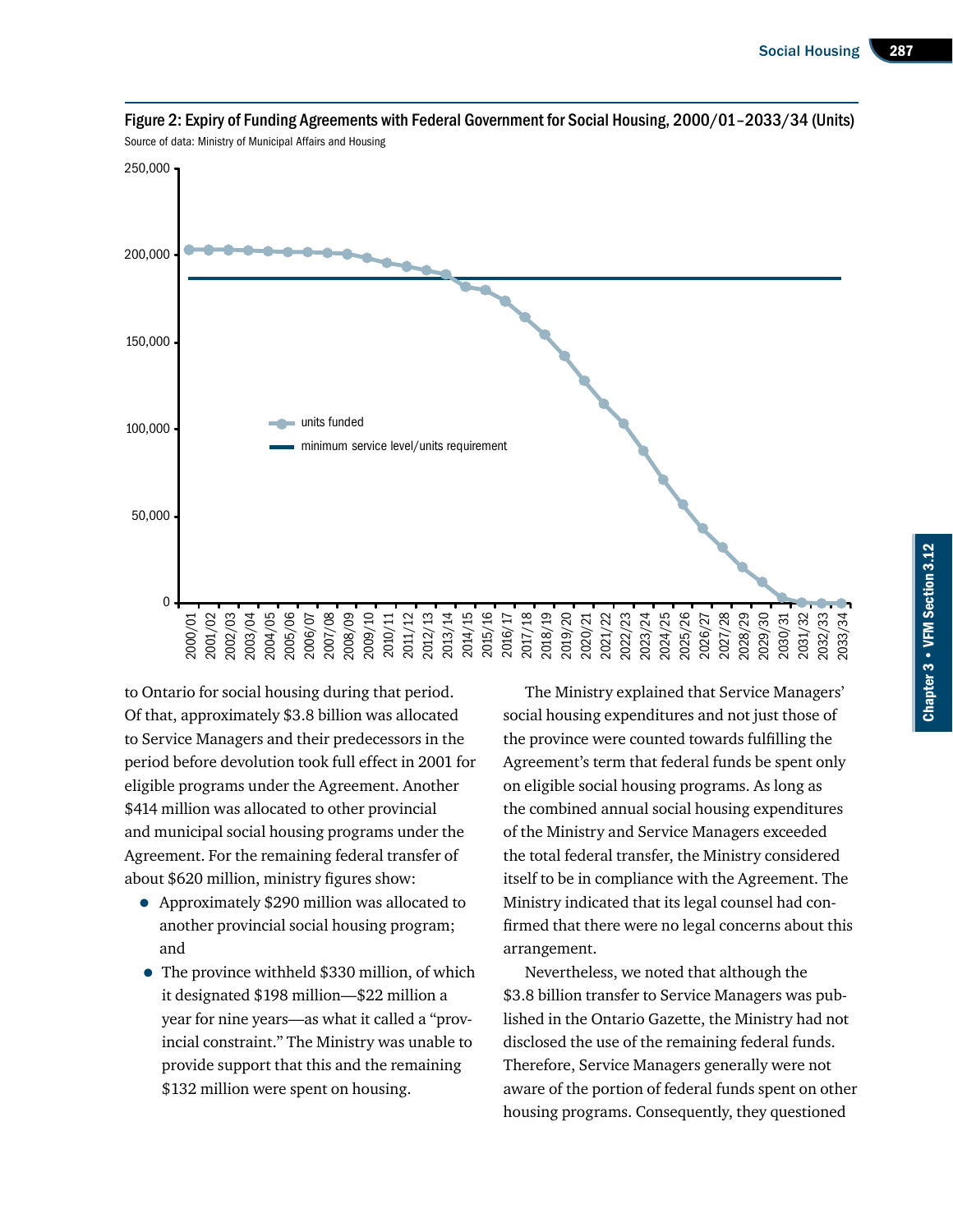

Figure 2: Expiry of Funding Agreements with Federal Government for Social Housing, 2000/01–2033/34 (Units) Source of data: Ministry of Municipal Affairs and Housing

to Ontario for social housing during that period. Of that, approximately \$3.8 billion was allocated to Service Managers and their predecessors in the period before devolution took full effect in 2001 for eligible programs under the Agreement. Another \$414 million was allocated to other provincial and municipal social housing programs under the Agreement. For the remaining federal transfer of about \$620 million, ministry figures show:

- Approximately \$290 million was allocated to another provincial social housing program; and
- The province withheld \$330 million, of which it designated \$198 million—\$22 million a year for nine years—as what it called a "provincial constraint." The Ministry was unable to provide support that this and the remaining \$132 million were spent on housing.

The Ministry explained that Service Managers' social housing expenditures and not just those of the province were counted towards fulfilling the Agreement's term that federal funds be spent only on eligible social housing programs. As long as the combined annual social housing expenditures of the Ministry and Service Managers exceeded the total federal transfer, the Ministry considered itself to be in compliance with the Agreement. The Ministry indicated that its legal counsel had confirmed that there were no legal concerns about this arrangement.

Nevertheless, we noted that although the \$3.8 billion transfer to Service Managers was published in the Ontario Gazette, the Ministry had not disclosed the use of the remaining federal funds. Therefore, Service Managers generally were not aware of the portion of federal funds spent on other housing programs. Consequently, they questioned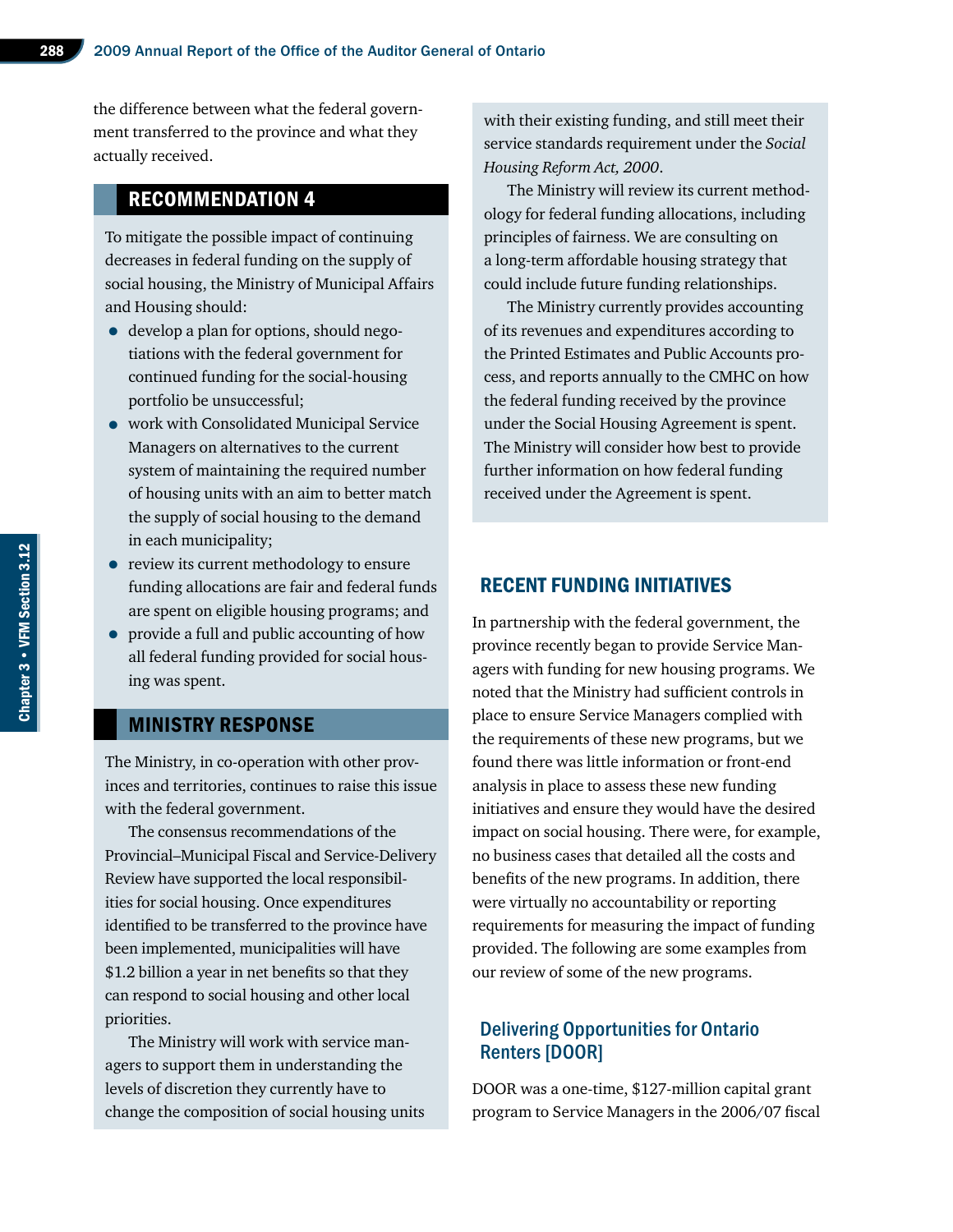the difference between what the federal government transferred to the province and what they actually received.

# Recommendation 4

To mitigate the possible impact of continuing decreases in federal funding on the supply of social housing, the Ministry of Municipal Affairs and Housing should:

- develop a plan for options, should negotiations with the federal government for continued funding for the social-housing portfolio be unsuccessful;
- work with Consolidated Municipal Service Managers on alternatives to the current system of maintaining the required number of housing units with an aim to better match the supply of social housing to the demand in each municipality;
- review its current methodology to ensure funding allocations are fair and federal funds are spent on eligible housing programs; and
- provide a full and public accounting of how all federal funding provided for social housing was spent.

### Ministry Response

The Ministry, in co-operation with other provinces and territories, continues to raise this issue with the federal government.

The consensus recommendations of the Provincial–Municipal Fiscal and Service-Delivery Review have supported the local responsibilities for social housing. Once expenditures identified to be transferred to the province have been implemented, municipalities will have \$1.2 billion a year in net benefits so that they can respond to social housing and other local priorities.

The Ministry will work with service managers to support them in understanding the levels of discretion they currently have to change the composition of social housing units

with their existing funding, and still meet their service standards requirement under the *Social Housing Reform Act, 2000*.

The Ministry will review its current methodology for federal funding allocations, including principles of fairness. We are consulting on a long-term affordable housing strategy that could include future funding relationships.

The Ministry currently provides accounting of its revenues and expenditures according to the Printed Estimates and Public Accounts process, and reports annually to the CMHC on how the federal funding received by the province under the Social Housing Agreement is spent. The Ministry will consider how best to provide further information on how federal funding received under the Agreement is spent.

#### Recent Funding Initiatives

In partnership with the federal government, the province recently began to provide Service Managers with funding for new housing programs. We noted that the Ministry had sufficient controls in place to ensure Service Managers complied with the requirements of these new programs, but we found there was little information or front-end analysis in place to assess these new funding initiatives and ensure they would have the desired impact on social housing. There were, for example, no business cases that detailed all the costs and benefits of the new programs. In addition, there were virtually no accountability or reporting requirements for measuring the impact of funding provided. The following are some examples from our review of some of the new programs.

# Delivering Opportunities for Ontario Renters [DOOR]

DOOR was a one-time, \$127‑million capital grant program to Service Managers in the 2006/07 fiscal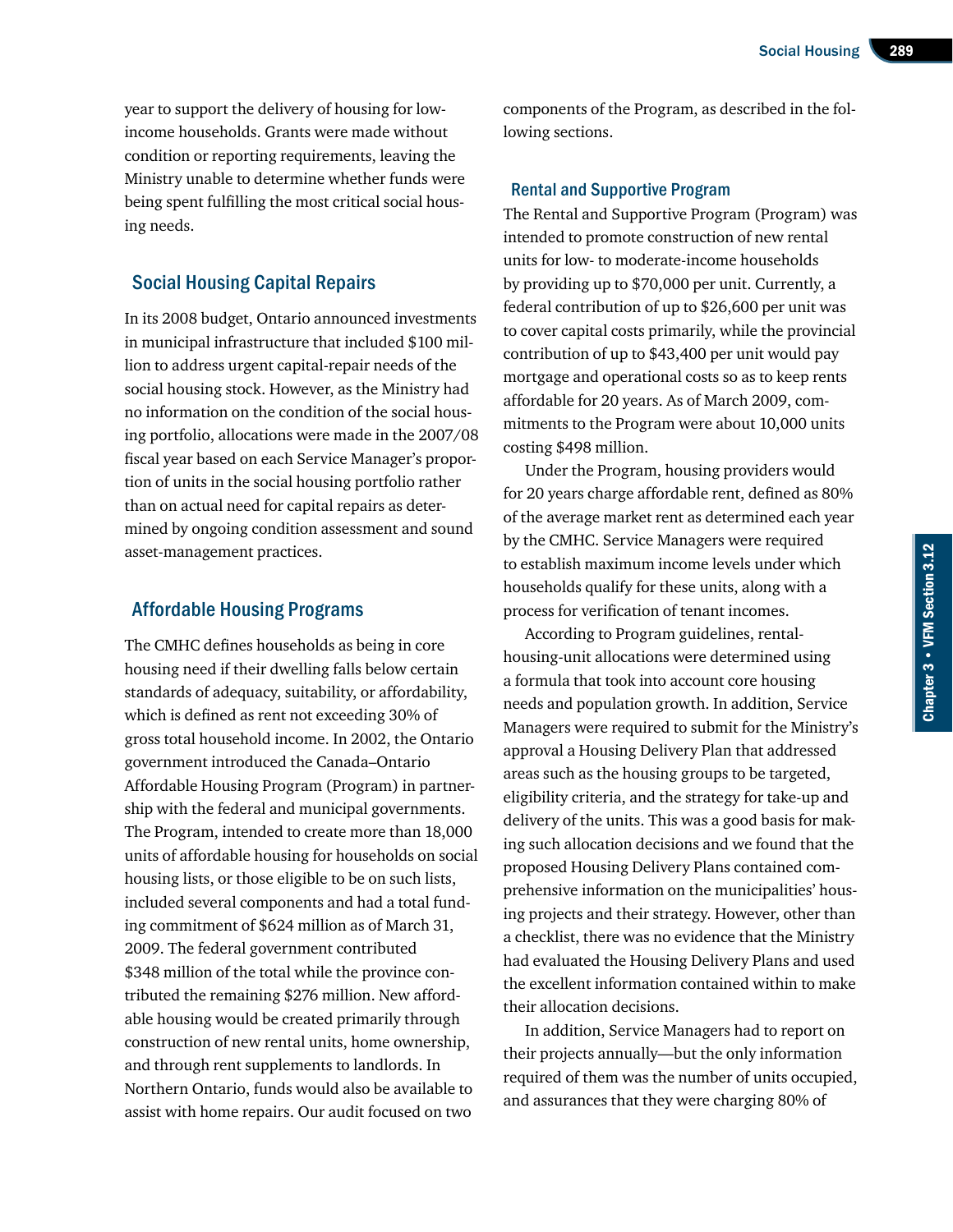year to support the delivery of housing for lowincome households. Grants were made without condition or reporting requirements, leaving the Ministry unable to determine whether funds were being spent fulfilling the most critical social housing needs.

# Social Housing Capital Repairs

In its 2008 budget, Ontario announced investments in municipal infrastructure that included \$100 million to address urgent capital-repair needs of the social housing stock. However, as the Ministry had no information on the condition of the social housing portfolio, allocations were made in the 2007/08 fiscal year based on each Service Manager's proportion of units in the social housing portfolio rather than on actual need for capital repairs as determined by ongoing condition assessment and sound asset-management practices.

#### Affordable Housing Programs

The CMHC defines households as being in core housing need if their dwelling falls below certain standards of adequacy, suitability, or affordability, which is defined as rent not exceeding 30% of gross total household income. In 2002, the Ontario government introduced the Canada–Ontario Affordable Housing Program (Program) in partnership with the federal and municipal governments. The Program, intended to create more than 18,000 units of affordable housing for households on social housing lists, or those eligible to be on such lists, included several components and had a total funding commitment of \$624 million as of March 31, 2009. The federal government contributed \$348 million of the total while the province contributed the remaining \$276 million. New affordable housing would be created primarily through construction of new rental units, home ownership, and through rent supplements to landlords. In Northern Ontario, funds would also be available to assist with home repairs. Our audit focused on two

components of the Program, as described in the following sections.

#### Rental and Supportive Program

The Rental and Supportive Program (Program) was intended to promote construction of new rental units for low- to moderate-income households by providing up to \$70,000 per unit. Currently, a federal contribution of up to \$26,600 per unit was to cover capital costs primarily, while the provincial contribution of up to \$43,400 per unit would pay mortgage and operational costs so as to keep rents affordable for 20 years. As of March 2009, commitments to the Program were about 10,000 units costing \$498 million.

Under the Program, housing providers would for 20 years charge affordable rent, defined as 80% of the average market rent as determined each year by the CMHC. Service Managers were required to establish maximum income levels under which households qualify for these units, along with a process for verification of tenant incomes.

According to Program guidelines, rentalhousing-unit allocations were determined using a formula that took into account core housing needs and population growth. In addition, Service Managers were required to submit for the Ministry's approval a Housing Delivery Plan that addressed areas such as the housing groups to be targeted, eligibility criteria, and the strategy for take-up and delivery of the units. This was a good basis for making such allocation decisions and we found that the proposed Housing Delivery Plans contained comprehensive information on the municipalities' housing projects and their strategy. However, other than a checklist, there was no evidence that the Ministry had evaluated the Housing Delivery Plans and used the excellent information contained within to make their allocation decisions.

In addition, Service Managers had to report on their projects annually—but the only information required of them was the number of units occupied, and assurances that they were charging 80% of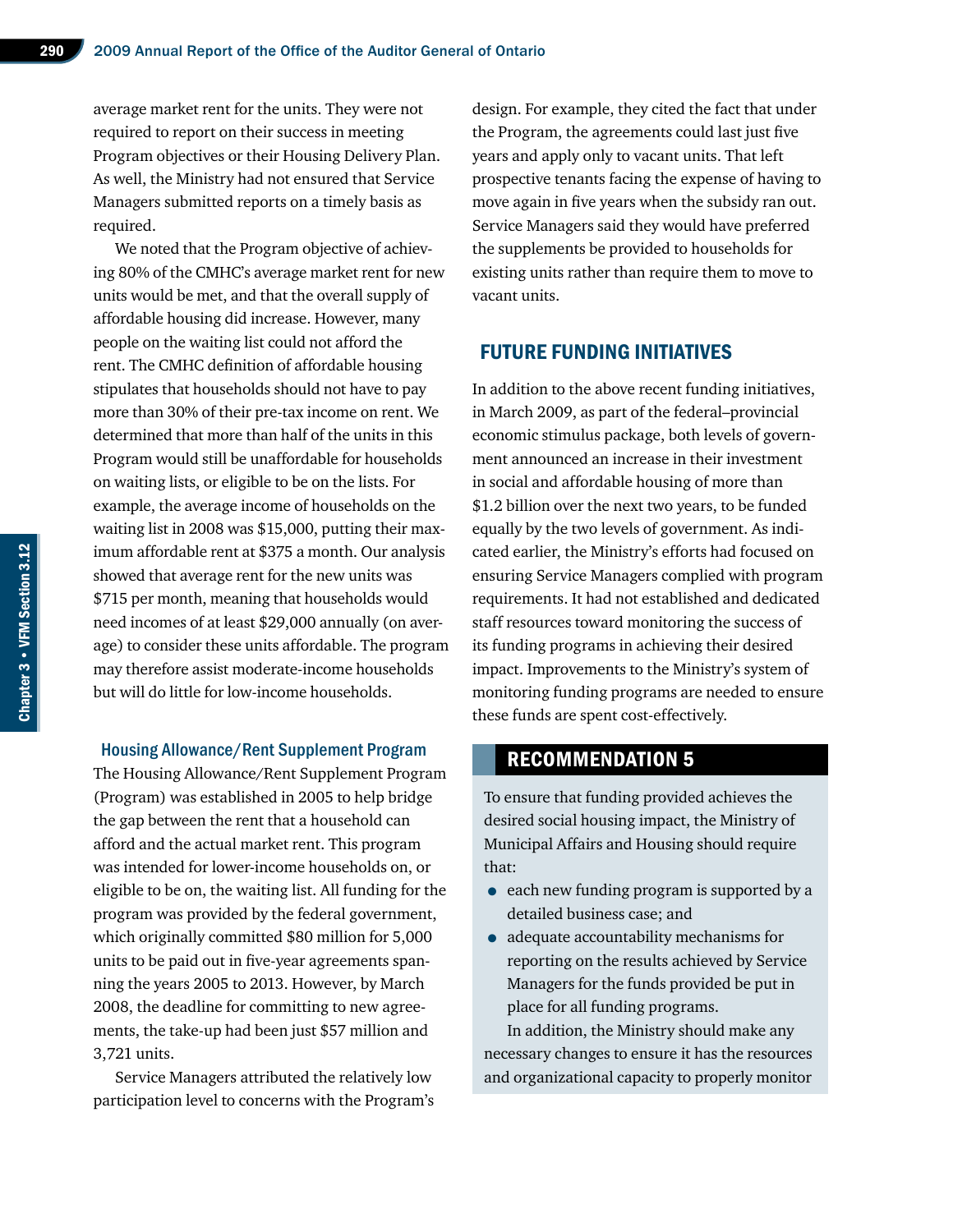average market rent for the units. They were not required to report on their success in meeting Program objectives or their Housing Delivery Plan. As well, the Ministry had not ensured that Service Managers submitted reports on a timely basis as required.

We noted that the Program objective of achieving 80% of the CMHC's average market rent for new units would be met, and that the overall supply of affordable housing did increase. however, many people on the waiting list could not afford the rent. The CMHC definition of affordable housing stipulates that households should not have to pay more than 30% of their pre-tax income on rent. We determined that more than half of the units in this Program would still be unaffordable for households on waiting lists, or eligible to be on the lists. For example, the average income of households on the waiting list in 2008 was \$15,000, putting their maximum affordable rent at \$375 a month. Our analysis showed that average rent for the new units was \$715 per month, meaning that households would need incomes of at least \$29,000 annually (on average) to consider these units affordable. The program may therefore assist moderate-income households but will do little for low-income households.

#### Housing Allowance/Rent Supplement Program

The Housing Allowance/Rent Supplement Program (Program) was established in 2005 to help bridge the gap between the rent that a household can afford and the actual market rent. This program was intended for lower-income households on, or eligible to be on, the waiting list. All funding for the program was provided by the federal government, which originally committed \$80 million for 5,000 units to be paid out in five-year agreements spanning the years 2005 to 2013. However, by March 2008, the deadline for committing to new agreements, the take-up had been just \$57 million and 3,721 units.

Service Managers attributed the relatively low participation level to concerns with the Program's design. For example, they cited the fact that under the Program, the agreements could last just five years and apply only to vacant units. That left prospective tenants facing the expense of having to move again in five years when the subsidy ran out. Service Managers said they would have preferred the supplements be provided to households for existing units rather than require them to move to vacant units.

# Future Funding Initiatives

In addition to the above recent funding initiatives, in March 2009, as part of the federal–provincial economic stimulus package, both levels of government announced an increase in their investment in social and affordable housing of more than \$1.2 billion over the next two years, to be funded equally by the two levels of government. As indicated earlier, the Ministry's efforts had focused on ensuring Service Managers complied with program requirements. It had not established and dedicated staff resources toward monitoring the success of its funding programs in achieving their desired impact. Improvements to the Ministry's system of monitoring funding programs are needed to ensure these funds are spent cost-effectively.

## Recommendation 5

To ensure that funding provided achieves the desired social housing impact, the Ministry of Municipal Affairs and Housing should require that:

- each new funding program is supported by a detailed business case; and
- adequate accountability mechanisms for reporting on the results achieved by Service Managers for the funds provided be put in place for all funding programs.

In addition, the Ministry should make any necessary changes to ensure it has the resources and organizational capacity to properly monitor